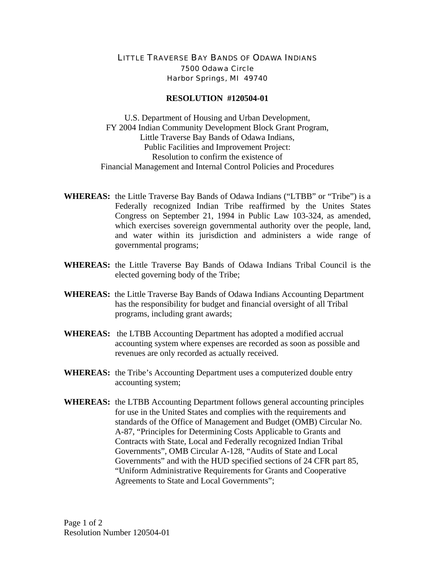## LITTLE TRAVERSE BAY BANDS OF ODAWA INDIANS 7500 Odawa Circle Harbor Springs, MI 49740

## **RESOLUTION #120504-01**

U.S. Department of Housing and Urban Development, FY 2004 Indian Community Development Block Grant Program, Little Traverse Bay Bands of Odawa Indians, Public Facilities and Improvement Project: Resolution to confirm the existence of Financial Management and Internal Control Policies and Procedures

- **WHEREAS:** the Little Traverse Bay Bands of Odawa Indians ("LTBB" or "Tribe") is a Federally recognized Indian Tribe reaffirmed by the Unites States Congress on September 21, 1994 in Public Law 103-324, as amended, which exercises sovereign governmental authority over the people, land, and water within its jurisdiction and administers a wide range of governmental programs;
- **WHEREAS:** the Little Traverse Bay Bands of Odawa Indians Tribal Council is the elected governing body of the Tribe;
- **WHEREAS:** the Little Traverse Bay Bands of Odawa Indians Accounting Department has the responsibility for budget and financial oversight of all Tribal programs, including grant awards;
- **WHEREAS:** the LTBB Accounting Department has adopted a modified accrual accounting system where expenses are recorded as soon as possible and revenues are only recorded as actually received.
- **WHEREAS:** the Tribe's Accounting Department uses a computerized double entry accounting system;
- **WHEREAS:** the LTBB Accounting Department follows general accounting principles for use in the United States and complies with the requirements and standards of the Office of Management and Budget (OMB) Circular No. A-87, "Principles for Determining Costs Applicable to Grants and Contracts with State, Local and Federally recognized Indian Tribal Governments", OMB Circular A-128, "Audits of State and Local Governments" and with the HUD specified sections of 24 CFR part 85, "Uniform Administrative Requirements for Grants and Cooperative Agreements to State and Local Governments";